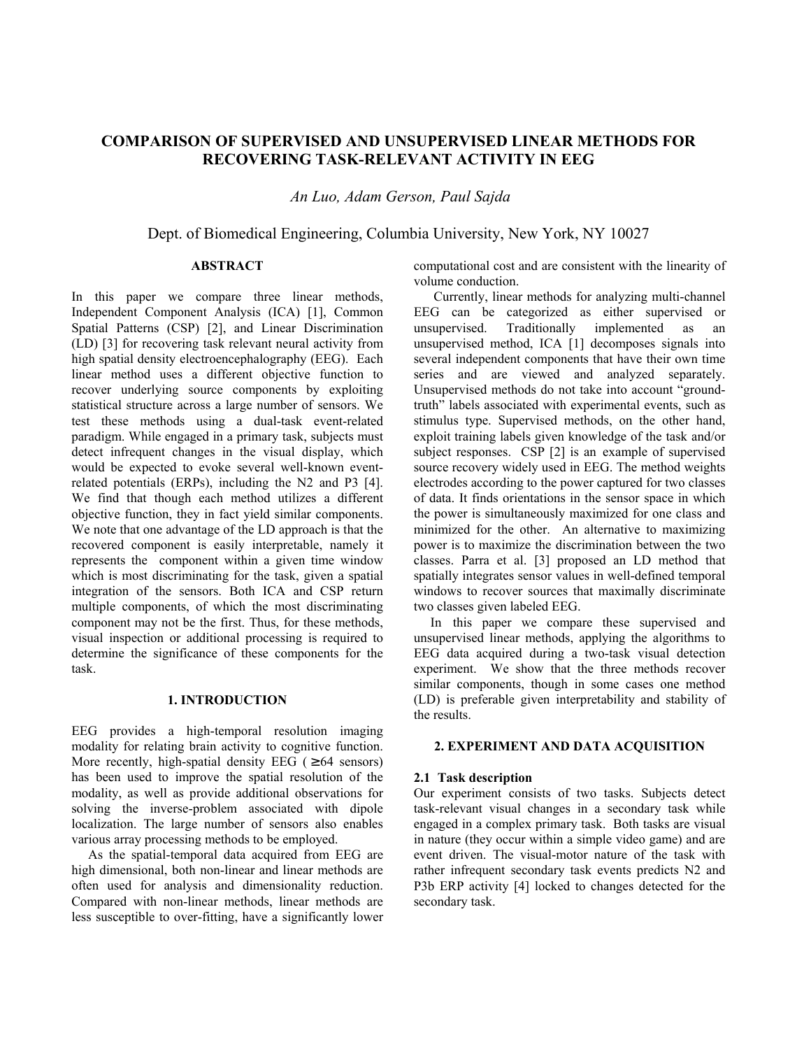# **COMPARISON OF SUPERVISED AND UNSUPERVISED LINEAR METHODS FOR RECOVERING TASK-RELEVANT ACTIVITY IN EEG**

 *An Luo, Adam Gerson, Paul Sajda* 

Dept. of Biomedical Engineering, Columbia University, New York, NY 10027

# **ABSTRACT**

In this paper we compare three linear methods, Independent Component Analysis (ICA) [1], Common Spatial Patterns (CSP) [2], and Linear Discrimination (LD) [3] for recovering task relevant neural activity from high spatial density electroencephalography (EEG). Each linear method uses a different objective function to recover underlying source components by exploiting statistical structure across a large number of sensors. We test these methods using a dual-task event-related paradigm. While engaged in a primary task, subjects must detect infrequent changes in the visual display, which would be expected to evoke several well-known eventrelated potentials (ERPs), including the N2 and P3 [4]. We find that though each method utilizes a different objective function, they in fact yield similar components. We note that one advantage of the LD approach is that the recovered component is easily interpretable, namely it represents the component within a given time window which is most discriminating for the task, given a spatial integration of the sensors. Both ICA and CSP return multiple components, of which the most discriminating component may not be the first. Thus, for these methods, visual inspection or additional processing is required to determine the significance of these components for the task.

# **1. INTRODUCTION**

EEG provides a high-temporal resolution imaging modality for relating brain activity to cognitive function. More recently, high-spatial density EEG ( $\geq 64$  sensors) has been used to improve the spatial resolution of the modality, as well as provide additional observations for solving the inverse-problem associated with dipole localization. The large number of sensors also enables various array processing methods to be employed.

 As the spatial-temporal data acquired from EEG are high dimensional, both non-linear and linear methods are often used for analysis and dimensionality reduction. Compared with non-linear methods, linear methods are less susceptible to over-fitting, have a significantly lower computational cost and are consistent with the linearity of volume conduction.

 Currently, linear methods for analyzing multi-channel EEG can be categorized as either supervised or unsupervised. Traditionally implemented as an unsupervised method, ICA [1] decomposes signals into several independent components that have their own time series and are viewed and analyzed separately. Unsupervised methods do not take into account "groundtruth" labels associated with experimental events, such as stimulus type. Supervised methods, on the other hand, exploit training labels given knowledge of the task and/or subject responses. CSP [2] is an example of supervised source recovery widely used in EEG. The method weights electrodes according to the power captured for two classes of data. It finds orientations in the sensor space in which the power is simultaneously maximized for one class and minimized for the other. An alternative to maximizing power is to maximize the discrimination between the two classes. Parra et al. [3] proposed an LD method that spatially integrates sensor values in well-defined temporal windows to recover sources that maximally discriminate two classes given labeled EEG.

 In this paper we compare these supervised and unsupervised linear methods, applying the algorithms to EEG data acquired during a two-task visual detection experiment. We show that the three methods recover similar components, though in some cases one method (LD) is preferable given interpretability and stability of the results.

# **2. EXPERIMENT AND DATA ACQUISITION**

### **2.1 Task description**

Our experiment consists of two tasks. Subjects detect task-relevant visual changes in a secondary task while engaged in a complex primary task. Both tasks are visual in nature (they occur within a simple video game) and are event driven. The visual-motor nature of the task with rather infrequent secondary task events predicts N2 and P3b ERP activity [4] locked to changes detected for the secondary task.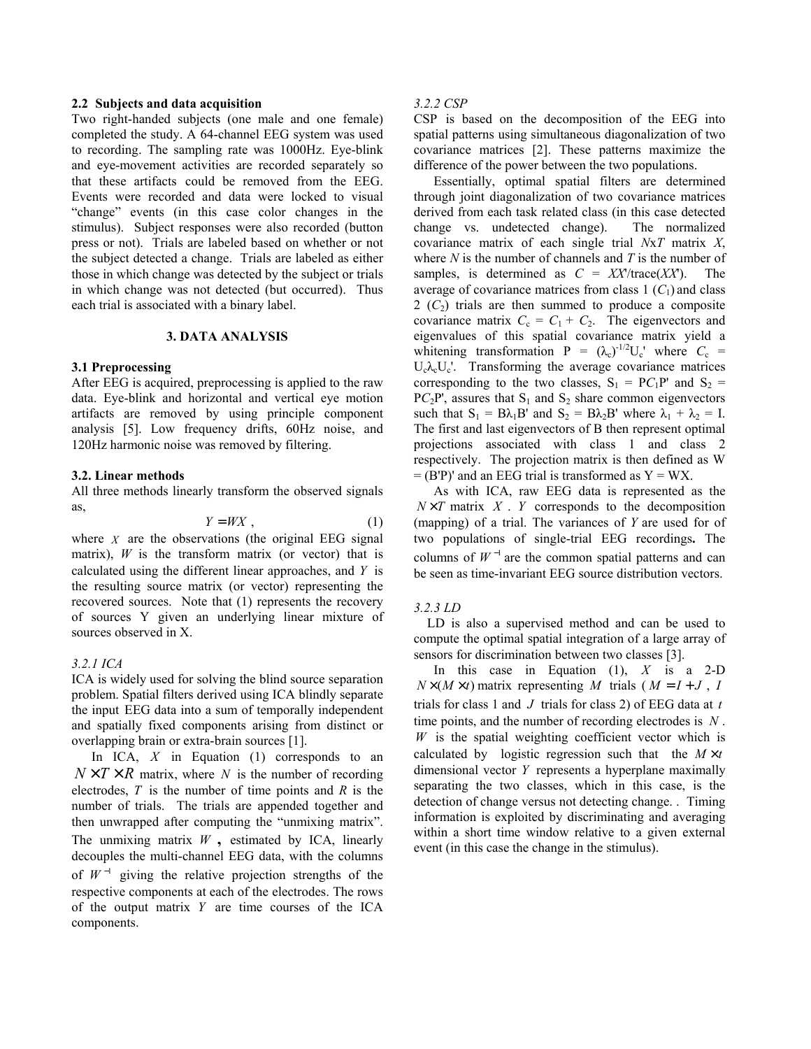### **2.2 Subjects and data acquisition**

Two right-handed subjects (one male and one female) completed the study. A 64-channel EEG system was used to recording. The sampling rate was 1000Hz. Eye-blink and eye-movement activities are recorded separately so that these artifacts could be removed from the EEG. Events were recorded and data were locked to visual "change" events (in this case color changes in the stimulus). Subject responses were also recorded (button press or not). Trials are labeled based on whether or not the subject detected a change. Trials are labeled as either those in which change was detected by the subject or trials in which change was not detected (but occurred). Thus each trial is associated with a binary label.

# **3. DATA ANALYSIS**

#### **3.1 Preprocessing**

After EEG is acquired, preprocessing is applied to the raw data. Eye-blink and horizontal and vertical eye motion artifacts are removed by using principle component analysis [5]. Low frequency drifts, 60Hz noise, and 120Hz harmonic noise was removed by filtering.

#### **3.2. Linear methods**

All three methods linearly transform the observed signals as,

$$
Y = WX \t{1}
$$

where  $X$  are the observations (the original EEG signal matrix),  $W$  is the transform matrix (or vector) that is calculated using the different linear approaches, and *Y* is the resulting source matrix (or vector) representing the recovered sources. Note that (1) represents the recovery of sources Y given an underlying linear mixture of sources observed in X.

### *3.2.1 ICA*

ICA is widely used for solving the blind source separation problem. Spatial filters derived using ICA blindly separate the input EEG data into a sum of temporally independent and spatially fixed components arising from distinct or overlapping brain or extra-brain sources [1].

In ICA, *X* in Equation (1) corresponds to an  $N \times T \times R$  matrix, where *N* is the number of recording electrodes, *T* is the number of time points and *R* is the number of trials. The trials are appended together and then unwrapped after computing the "unmixing matrix". The unmixing matrix *W* **,** estimated by ICA, linearly decouples the multi-channel EEG data, with the columns of  $W^{-1}$  giving the relative projection strengths of the respective components at each of the electrodes. The rows of the output matrix *Y* are time courses of the ICA components.

#### *3.2.2 CSP*

CSP is based on the decomposition of the EEG into spatial patterns using simultaneous diagonalization of two covariance matrices [2]. These patterns maximize the difference of the power between the two populations.

 Essentially, optimal spatial filters are determined through joint diagonalization of two covariance matrices derived from each task related class (in this case detected change vs. undetected change). The normalized covariance matrix of each single trial *N*x*T* matrix *X*, where *N* is the number of channels and *T* is the number of samples, is determined as  $C = XX/trace(XX')$ . The average of covariance matrices from class  $1 \,(C_1)$  and class  $2 (C<sub>2</sub>)$  trials are then summed to produce a composite covariance matrix  $C_c = C_1 + C_2$ . The eigenvectors and eigenvalues of this spatial covariance matrix yield a whitening transformation  $P = (\lambda_c)^{-1/2} U_c$  where  $C_c$  =  $U_c \lambda_c U_c$ . Transforming the average covariance matrices corresponding to the two classes,  $S_1 = PC_1P'$  and  $S_2 =$  $PC_2P'$ , assures that  $S_1$  and  $S_2$  share common eigenvectors such that  $S_1 = B\lambda_1B'$  and  $S_2 = B\lambda_2B'$  where  $\lambda_1 + \lambda_2 = I$ . The first and last eigenvectors of B then represent optimal projections associated with class 1 and class 2 respectively. The projection matrix is then defined as W  $=$  (B'P)' and an EEG trial is transformed as  $Y = WX$ .

 As with ICA, raw EEG data is represented as the  $N \times T$  matrix *X*. *Y* corresponds to the decomposition (mapping) of a trial. The variances of *Y* are used for of two populations of single-trial EEG recordings**.** The columns of  $W^{-1}$  are the common spatial patterns and can be seen as time-invariant EEG source distribution vectors.

#### *3.2.3 LD*

 LD is also a supervised method and can be used to compute the optimal spatial integration of a large array of sensors for discrimination between two classes [3].

 In this case in Equation (1), *X* is a 2-D  $N \times (M \times t)$  matrix representing *M* trials ( $M = I + J$ , *I* trials for class 1 and *J* trials for class 2) of EEG data at *t* time points, and the number of recording electrodes is *N* . *W* is the spatial weighting coefficient vector which is calculated by logistic regression such that the  $M \times t$ dimensional vector *Y* represents a hyperplane maximally separating the two classes, which in this case, is the detection of change versus not detecting change. . Timing information is exploited by discriminating and averaging within a short time window relative to a given external event (in this case the change in the stimulus).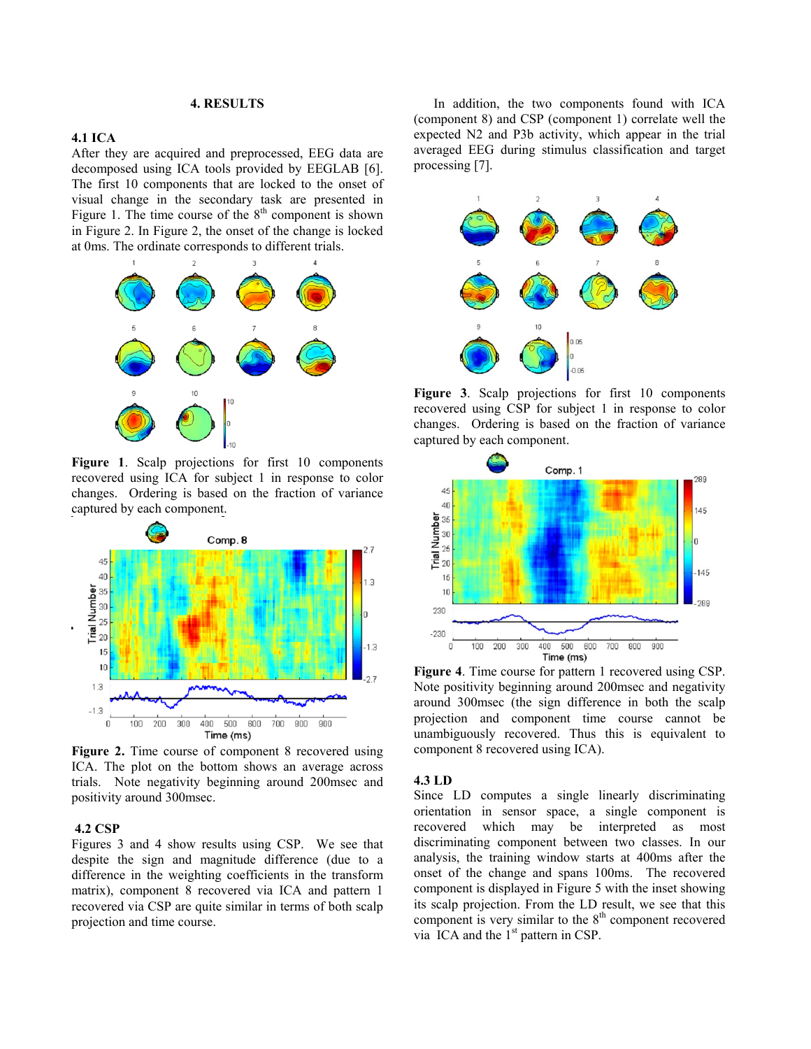### **4. RESULTS**

# **4.1 ICA**

After they are acquired and preprocessed, EEG data are decomposed using ICA tools provided by EEGLAB [6]. The first 10 components that are locked to the onset of visual change in the secondary task are presented in Figure 1. The time course of the  $8<sup>th</sup>$  component is shown in Figure 2. In Figure 2, the onset of the change is locked at 0ms. The ordinate corresponds to different trials.



**Figure 1**. Scalp projections for first 10 components recovered using ICA for subject 1 in response to color changes. Ordering is based on the fraction of variance captured by each component.



**Figure 2.** Time course of component 8 recovered using ICA. The plot on the bottom shows an average across trials. Note negativity beginning around 200msec and positivity around 300msec.

# **4.2 CSP**

Figures 3 and 4 show results using CSP. We see that despite the sign and magnitude difference (due to a difference in the weighting coefficients in the transform matrix), component 8 recovered via ICA and pattern 1 recovered via CSP are quite similar in terms of both scalp projection and time course.

 In addition, the two components found with ICA (component 8) and CSP (component 1) correlate well the expected N2 and P3b activity, which appear in the trial averaged EEG during stimulus classification and target processing [7].



**Figure 3**. Scalp projections for first 10 components recovered using CSP for subject 1 in response to color changes. Ordering is based on the fraction of variance captured by each component.



**Figure 4**. Time course for pattern 1 recovered using CSP. Note positivity beginning around 200msec and negativity around 300msec (the sign difference in both the scalp projection and component time course cannot be unambiguously recovered. Thus this is equivalent to component 8 recovered using ICA).

### **4.3 LD**

Since LD computes a single linearly discriminating orientation in sensor space, a single component is recovered which may be interpreted as most discriminating component between two classes. In our analysis, the training window starts at 400ms after the onset of the change and spans 100ms. The recovered component is displayed in Figure 5 with the inset showing its scalp projection. From the LD result, we see that this component is very similar to the  $8<sup>th</sup>$  component recovered via ICA and the  $1<sup>st</sup>$  pattern in CSP.